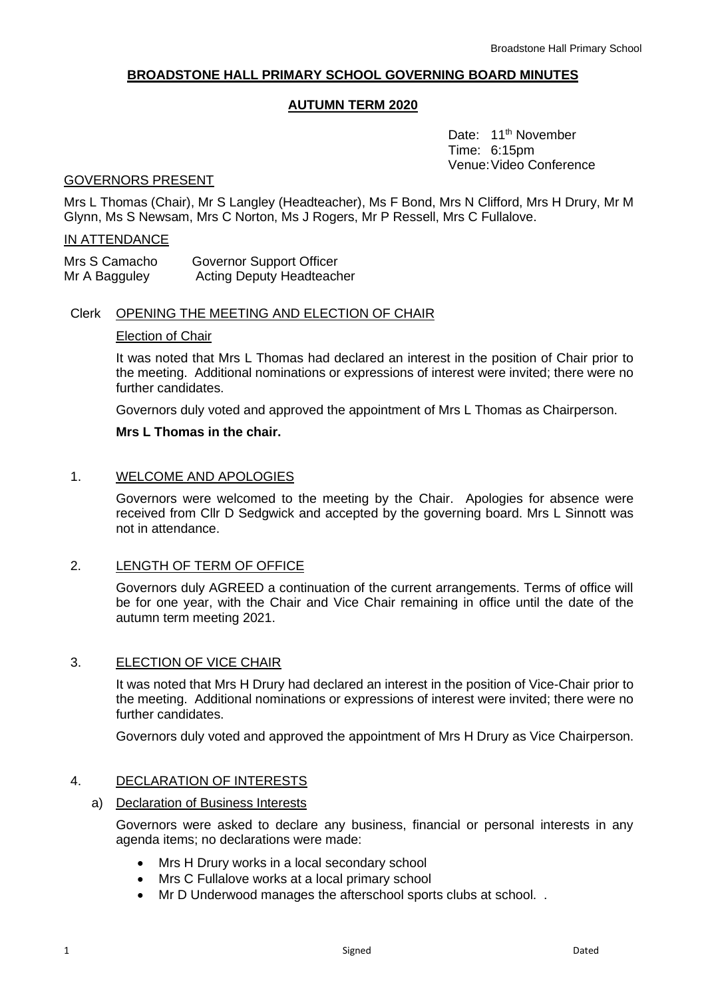# **BROADSTONE HALL PRIMARY SCHOOL GOVERNING BOARD MINUTES**

# **AUTUMN TERM 2020**

Date: 11<sup>th</sup> November Time: 6:15pm Venue:Video Conference

# GOVERNORS PRESENT

Mrs L Thomas (Chair), Mr S Langley (Headteacher), Ms F Bond, Mrs N Clifford, Mrs H Drury, Mr M Glynn, Ms S Newsam, Mrs C Norton, Ms J Rogers, Mr P Ressell, Mrs C Fullalove.

## IN ATTENDANCE

| Mrs S Camacho | Governor Support Officer         |
|---------------|----------------------------------|
| Mr A Bagguley | <b>Acting Deputy Headteacher</b> |

# Clerk OPENING THE MEETING AND ELECTION OF CHAIR

## Election of Chair

It was noted that Mrs L Thomas had declared an interest in the position of Chair prior to the meeting. Additional nominations or expressions of interest were invited; there were no further candidates.

Governors duly voted and approved the appointment of Mrs L Thomas as Chairperson.

## **Mrs L Thomas in the chair.**

## 1. WELCOME AND APOLOGIES

Governors were welcomed to the meeting by the Chair. Apologies for absence were received from Cllr D Sedgwick and accepted by the governing board. Mrs L Sinnott was not in attendance.

# 2. LENGTH OF TERM OF OFFICE

Governors duly AGREED a continuation of the current arrangements. Terms of office will be for one year, with the Chair and Vice Chair remaining in office until the date of the autumn term meeting 2021.

## 3. ELECTION OF VICE CHAIR

It was noted that Mrs H Drury had declared an interest in the position of Vice-Chair prior to the meeting. Additional nominations or expressions of interest were invited; there were no further candidates.

Governors duly voted and approved the appointment of Mrs H Drury as Vice Chairperson.

## 4. DECLARATION OF INTERESTS

#### a) Declaration of Business Interests

Governors were asked to declare any business, financial or personal interests in any agenda items; no declarations were made:

- Mrs H Drury works in a local secondary school
- Mrs C Fullalove works at a local primary school
- Mr D Underwood manages the afterschool sports clubs at school. .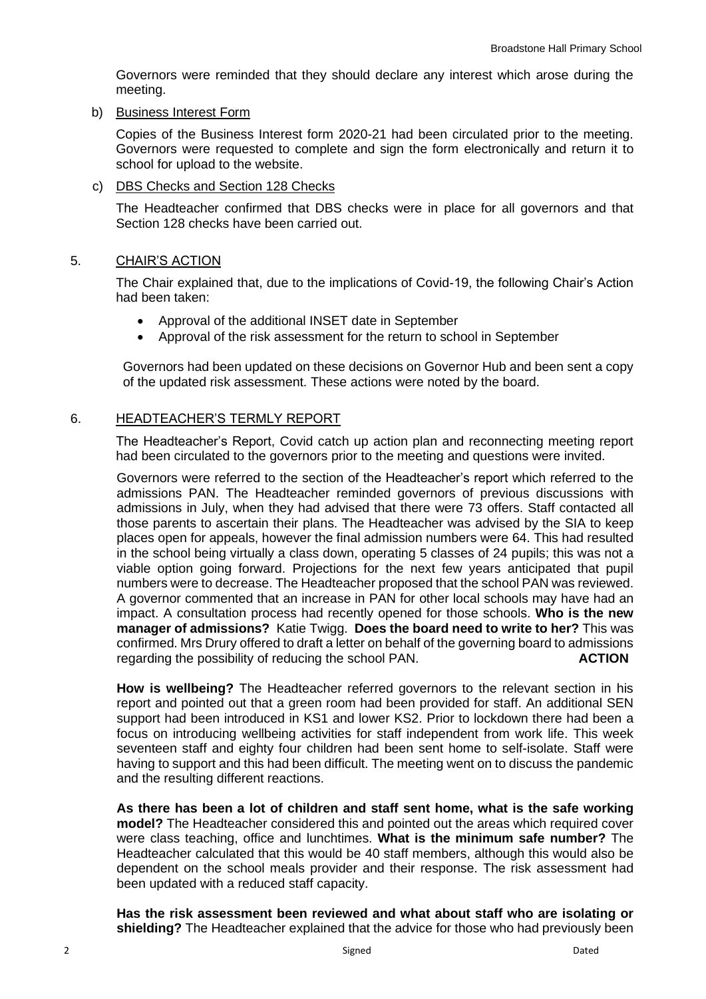Governors were reminded that they should declare any interest which arose during the meeting.

b) Business Interest Form

Copies of the Business Interest form 2020-21 had been circulated prior to the meeting. Governors were requested to complete and sign the form electronically and return it to school for upload to the website.

c) DBS Checks and Section 128 Checks

The Headteacher confirmed that DBS checks were in place for all governors and that Section 128 checks have been carried out.

## 5. CHAIR'S ACTION

The Chair explained that, due to the implications of Covid-19, the following Chair's Action had been taken:

- Approval of the additional INSET date in September
- Approval of the risk assessment for the return to school in September

Governors had been updated on these decisions on Governor Hub and been sent a copy of the updated risk assessment. These actions were noted by the board.

## 6. HEADTEACHER'S TERMLY REPORT

The Headteacher's Report, Covid catch up action plan and reconnecting meeting report had been circulated to the governors prior to the meeting and questions were invited.

Governors were referred to the section of the Headteacher's report which referred to the admissions PAN. The Headteacher reminded governors of previous discussions with admissions in July, when they had advised that there were 73 offers. Staff contacted all those parents to ascertain their plans. The Headteacher was advised by the SIA to keep places open for appeals, however the final admission numbers were 64. This had resulted in the school being virtually a class down, operating 5 classes of 24 pupils; this was not a viable option going forward. Projections for the next few years anticipated that pupil numbers were to decrease. The Headteacher proposed that the school PAN was reviewed. A governor commented that an increase in PAN for other local schools may have had an impact. A consultation process had recently opened for those schools. **Who is the new manager of admissions?** Katie Twigg. **Does the board need to write to her?** This was confirmed. Mrs Drury offered to draft a letter on behalf of the governing board to admissions regarding the possibility of reducing the school PAN. **ACTION**

**How is wellbeing?** The Headteacher referred governors to the relevant section in his report and pointed out that a green room had been provided for staff. An additional SEN support had been introduced in KS1 and lower KS2. Prior to lockdown there had been a focus on introducing wellbeing activities for staff independent from work life. This week seventeen staff and eighty four children had been sent home to self-isolate. Staff were having to support and this had been difficult. The meeting went on to discuss the pandemic and the resulting different reactions.

**As there has been a lot of children and staff sent home, what is the safe working model?** The Headteacher considered this and pointed out the areas which required cover were class teaching, office and lunchtimes. **What is the minimum safe number?** The Headteacher calculated that this would be 40 staff members, although this would also be dependent on the school meals provider and their response. The risk assessment had been updated with a reduced staff capacity.

**Has the risk assessment been reviewed and what about staff who are isolating or shielding?** The Headteacher explained that the advice for those who had previously been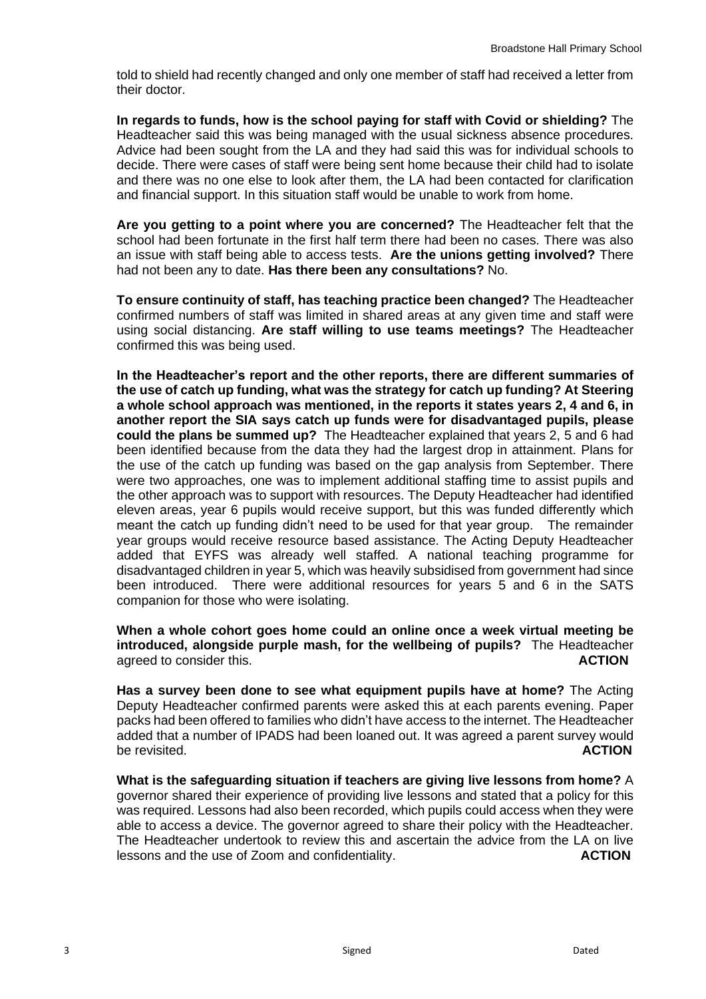told to shield had recently changed and only one member of staff had received a letter from their doctor.

**In regards to funds, how is the school paying for staff with Covid or shielding?** The Headteacher said this was being managed with the usual sickness absence procedures. Advice had been sought from the LA and they had said this was for individual schools to decide. There were cases of staff were being sent home because their child had to isolate and there was no one else to look after them, the LA had been contacted for clarification and financial support. In this situation staff would be unable to work from home.

**Are you getting to a point where you are concerned?** The Headteacher felt that the school had been fortunate in the first half term there had been no cases. There was also an issue with staff being able to access tests. **Are the unions getting involved?** There had not been any to date. **Has there been any consultations?** No.

**To ensure continuity of staff, has teaching practice been changed?** The Headteacher confirmed numbers of staff was limited in shared areas at any given time and staff were using social distancing. **Are staff willing to use teams meetings?** The Headteacher confirmed this was being used.

**In the Headteacher's report and the other reports, there are different summaries of the use of catch up funding, what was the strategy for catch up funding? At Steering a whole school approach was mentioned, in the reports it states years 2, 4 and 6, in another report the SIA says catch up funds were for disadvantaged pupils, please could the plans be summed up?** The Headteacher explained that years 2, 5 and 6 had been identified because from the data they had the largest drop in attainment. Plans for the use of the catch up funding was based on the gap analysis from September. There were two approaches, one was to implement additional staffing time to assist pupils and the other approach was to support with resources. The Deputy Headteacher had identified eleven areas, year 6 pupils would receive support, but this was funded differently which meant the catch up funding didn't need to be used for that year group. The remainder year groups would receive resource based assistance. The Acting Deputy Headteacher added that EYFS was already well staffed. A national teaching programme for disadvantaged children in year 5, which was heavily subsidised from government had since been introduced. There were additional resources for years 5 and 6 in the SATS companion for those who were isolating.

**When a whole cohort goes home could an online once a week virtual meeting be introduced, alongside purple mash, for the wellbeing of pupils?** The Headteacher agreed to consider this. **ACTION**

**Has a survey been done to see what equipment pupils have at home?** The Acting Deputy Headteacher confirmed parents were asked this at each parents evening. Paper packs had been offered to families who didn't have access to the internet. The Headteacher added that a number of IPADS had been loaned out. It was agreed a parent survey would be revisited. **ACTION**

**What is the safeguarding situation if teachers are giving live lessons from home?** A governor shared their experience of providing live lessons and stated that a policy for this was required. Lessons had also been recorded, which pupils could access when they were able to access a device. The governor agreed to share their policy with the Headteacher. The Headteacher undertook to review this and ascertain the advice from the LA on live lessons and the use of Zoom and confidentiality. **ACTION**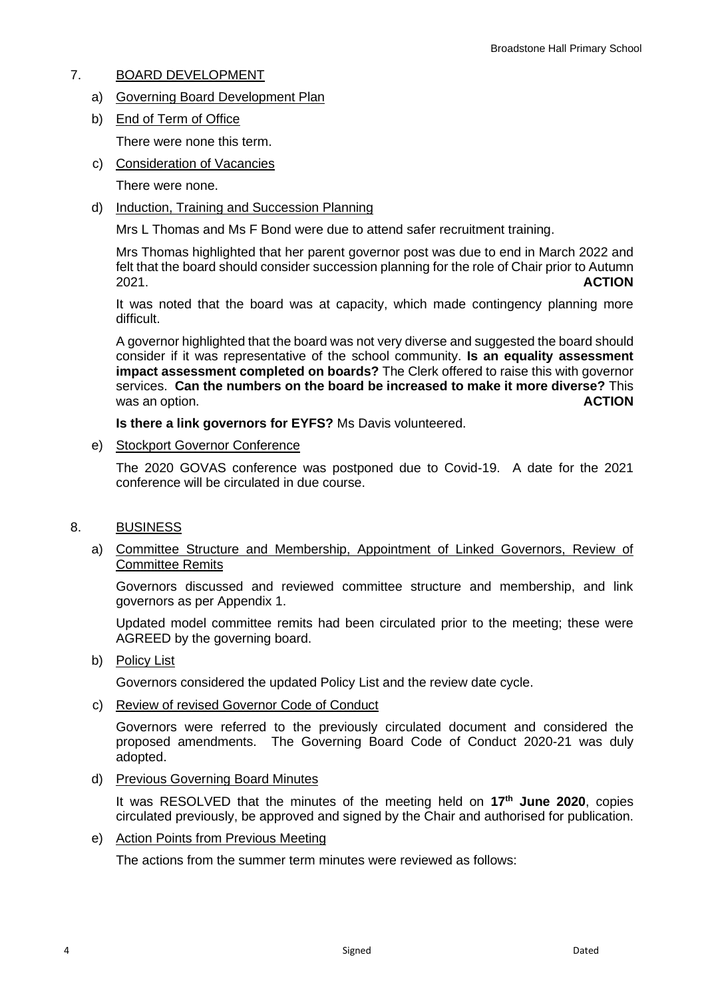# 7. BOARD DEVELOPMENT

- a) Governing Board Development Plan
- b) End of Term of Office There were none this term.
- c) Consideration of Vacancies

There were none.

d) Induction, Training and Succession Planning

Mrs L Thomas and Ms F Bond were due to attend safer recruitment training.

Mrs Thomas highlighted that her parent governor post was due to end in March 2022 and felt that the board should consider succession planning for the role of Chair prior to Autumn 2021. **ACTION**

It was noted that the board was at capacity, which made contingency planning more difficult.

A governor highlighted that the board was not very diverse and suggested the board should consider if it was representative of the school community. **Is an equality assessment impact assessment completed on boards?** The Clerk offered to raise this with governor services. **Can the numbers on the board be increased to make it more diverse?** This was an option. **ACTION ACTION** 

**Is there a link governors for EYFS?** Ms Davis volunteered.

e) Stockport Governor Conference

The 2020 GOVAS conference was postponed due to Covid-19. A date for the 2021 conference will be circulated in due course.

- 8. BUSINESS
	- a) Committee Structure and Membership, Appointment of Linked Governors, Review of Committee Remits

Governors discussed and reviewed committee structure and membership, and link governors as per Appendix 1.

Updated model committee remits had been circulated prior to the meeting; these were AGREED by the governing board.

b) Policy List

Governors considered the updated Policy List and the review date cycle.

c) Review of revised Governor Code of Conduct

Governors were referred to the previously circulated document and considered the proposed amendments. The Governing Board Code of Conduct 2020-21 was duly adopted.

d) Previous Governing Board Minutes

It was RESOLVED that the minutes of the meeting held on **17th June 2020**, copies circulated previously, be approved and signed by the Chair and authorised for publication.

e) Action Points from Previous Meeting

The actions from the summer term minutes were reviewed as follows: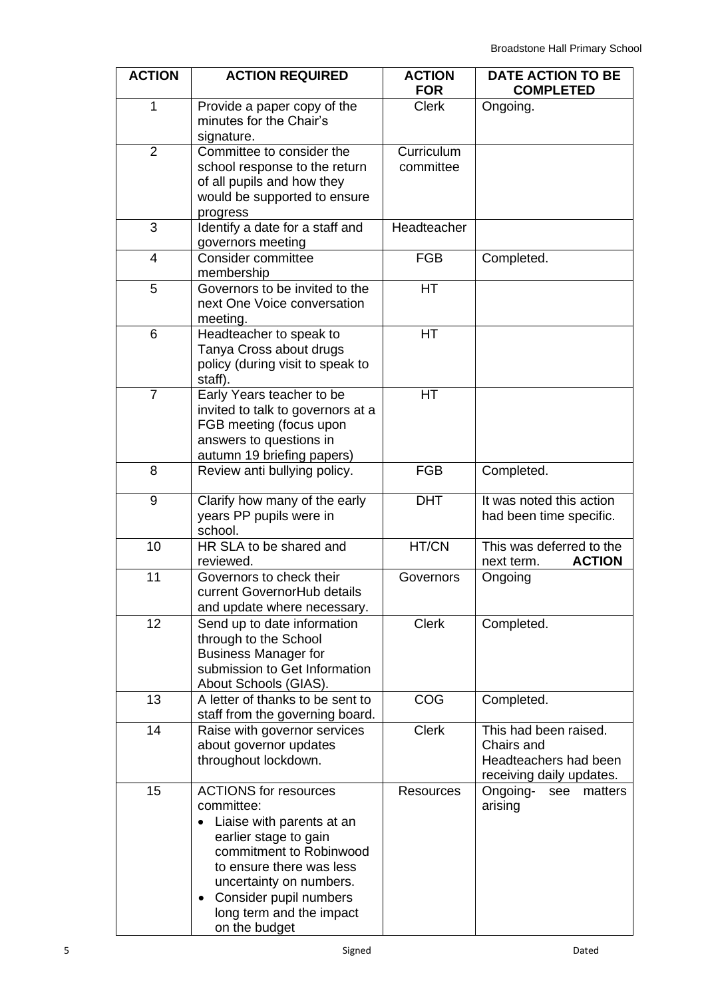| <b>ACTION</b>  | <b>ACTION REQUIRED</b>                                                                                                                                                                                                                                                              | <b>ACTION</b><br><b>FOR</b> | <b>DATE ACTION TO BE</b><br><b>COMPLETED</b>                                             |  |
|----------------|-------------------------------------------------------------------------------------------------------------------------------------------------------------------------------------------------------------------------------------------------------------------------------------|-----------------------------|------------------------------------------------------------------------------------------|--|
| 1              | Provide a paper copy of the<br>minutes for the Chair's<br>signature.                                                                                                                                                                                                                | <b>Clerk</b>                | Ongoing.                                                                                 |  |
| $\overline{2}$ | Committee to consider the<br>school response to the return<br>of all pupils and how they<br>would be supported to ensure<br>progress                                                                                                                                                | Curriculum<br>committee     |                                                                                          |  |
| 3              | Identify a date for a staff and<br>governors meeting                                                                                                                                                                                                                                | Headteacher                 |                                                                                          |  |
| $\overline{4}$ | Consider committee<br>membership                                                                                                                                                                                                                                                    | <b>FGB</b>                  | Completed.                                                                               |  |
| 5              | Governors to be invited to the<br>next One Voice conversation<br>meeting.                                                                                                                                                                                                           | HT                          |                                                                                          |  |
| 6              | Headteacher to speak to<br>Tanya Cross about drugs<br>policy (during visit to speak to<br>staff).                                                                                                                                                                                   | HT                          |                                                                                          |  |
| $\overline{7}$ | Early Years teacher to be<br>invited to talk to governors at a<br>FGB meeting (focus upon<br>answers to questions in<br>autumn 19 briefing papers)                                                                                                                                  | HT                          |                                                                                          |  |
| 8              | Review anti bullying policy.                                                                                                                                                                                                                                                        | <b>FGB</b>                  | Completed.                                                                               |  |
| 9              | Clarify how many of the early<br>years PP pupils were in<br>school.                                                                                                                                                                                                                 | <b>DHT</b>                  | It was noted this action<br>had been time specific.                                      |  |
| 10             | HR SLA to be shared and<br>reviewed.                                                                                                                                                                                                                                                | HT/CN                       | This was deferred to the<br><b>ACTION</b><br>next term.                                  |  |
| 11             | Governors to check their<br>current GovernorHub details<br>and update where necessary.                                                                                                                                                                                              | Governors                   | Ongoing                                                                                  |  |
| 12             | Send up to date information<br>through to the School<br><b>Business Manager for</b><br>submission to Get Information<br>About Schools (GIAS).                                                                                                                                       | <b>Clerk</b>                | Completed.                                                                               |  |
| 13             | A letter of thanks to be sent to<br>staff from the governing board.                                                                                                                                                                                                                 | COG                         | Completed.                                                                               |  |
| 14             | Raise with governor services<br>about governor updates<br>throughout lockdown.                                                                                                                                                                                                      | <b>Clerk</b>                | This had been raised.<br>Chairs and<br>Headteachers had been<br>receiving daily updates. |  |
| 15             | <b>ACTIONS</b> for resources<br>committee:<br>Liaise with parents at an<br>$\bullet$<br>earlier stage to gain<br>commitment to Robinwood<br>to ensure there was less<br>uncertainty on numbers.<br>Consider pupil numbers<br>$\bullet$<br>long term and the impact<br>on the budget | <b>Resources</b>            | Ongoing-<br>see<br>matters<br>arising                                                    |  |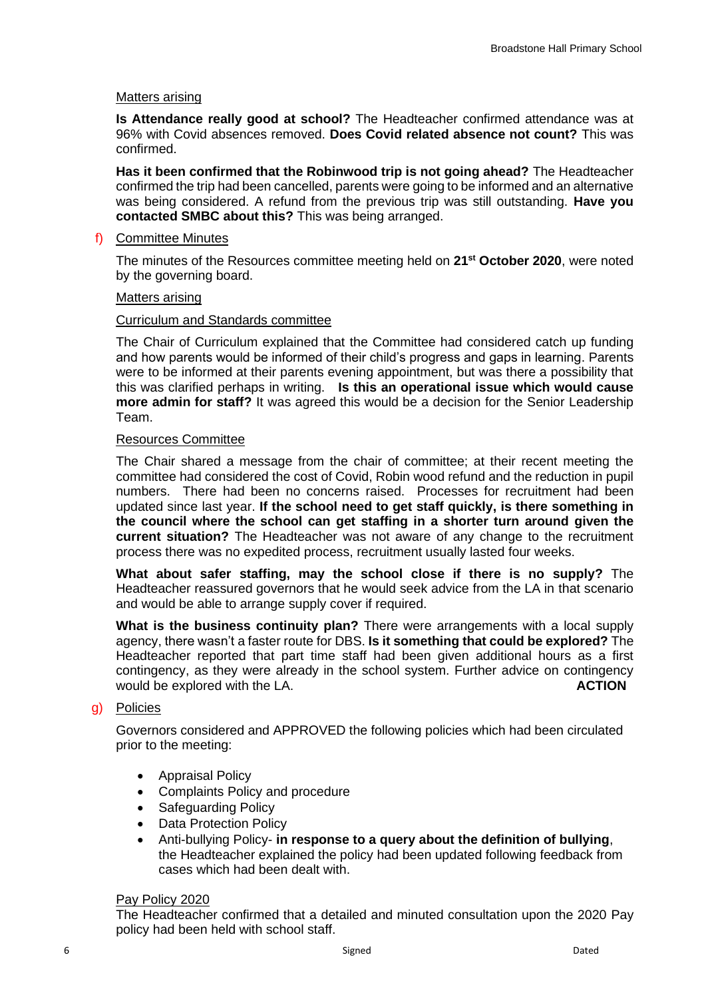#### Matters arising

**Is Attendance really good at school?** The Headteacher confirmed attendance was at 96% with Covid absences removed. **Does Covid related absence not count?** This was confirmed.

**Has it been confirmed that the Robinwood trip is not going ahead?** The Headteacher confirmed the trip had been cancelled, parents were going to be informed and an alternative was being considered. A refund from the previous trip was still outstanding. **Have you contacted SMBC about this?** This was being arranged.

#### f) Committee Minutes

The minutes of the Resources committee meeting held on **21st October 2020**, were noted by the governing board.

#### Matters arising

#### Curriculum and Standards committee

The Chair of Curriculum explained that the Committee had considered catch up funding and how parents would be informed of their child's progress and gaps in learning. Parents were to be informed at their parents evening appointment, but was there a possibility that this was clarified perhaps in writing. **Is this an operational issue which would cause more admin for staff?** It was agreed this would be a decision for the Senior Leadership Team.

#### Resources Committee

The Chair shared a message from the chair of committee; at their recent meeting the committee had considered the cost of Covid, Robin wood refund and the reduction in pupil numbers. There had been no concerns raised. Processes for recruitment had been updated since last year. **If the school need to get staff quickly, is there something in the council where the school can get staffing in a shorter turn around given the current situation?** The Headteacher was not aware of any change to the recruitment process there was no expedited process, recruitment usually lasted four weeks.

**What about safer staffing, may the school close if there is no supply?** The Headteacher reassured governors that he would seek advice from the LA in that scenario and would be able to arrange supply cover if required.

**What is the business continuity plan?** There were arrangements with a local supply agency, there wasn't a faster route for DBS. **Is it something that could be explored?** The Headteacher reported that part time staff had been given additional hours as a first contingency, as they were already in the school system. Further advice on contingency would be explored with the LA. **ACTION** 

# g) Policies

Governors considered and APPROVED the following policies which had been circulated prior to the meeting:

- Appraisal Policy
- Complaints Policy and procedure
- Safeguarding Policy
- Data Protection Policy
- Anti-bullying Policy- **in response to a query about the definition of bullying**, the Headteacher explained the policy had been updated following feedback from cases which had been dealt with.

#### Pay Policy 2020

The Headteacher confirmed that a detailed and minuted consultation upon the 2020 Pay policy had been held with school staff.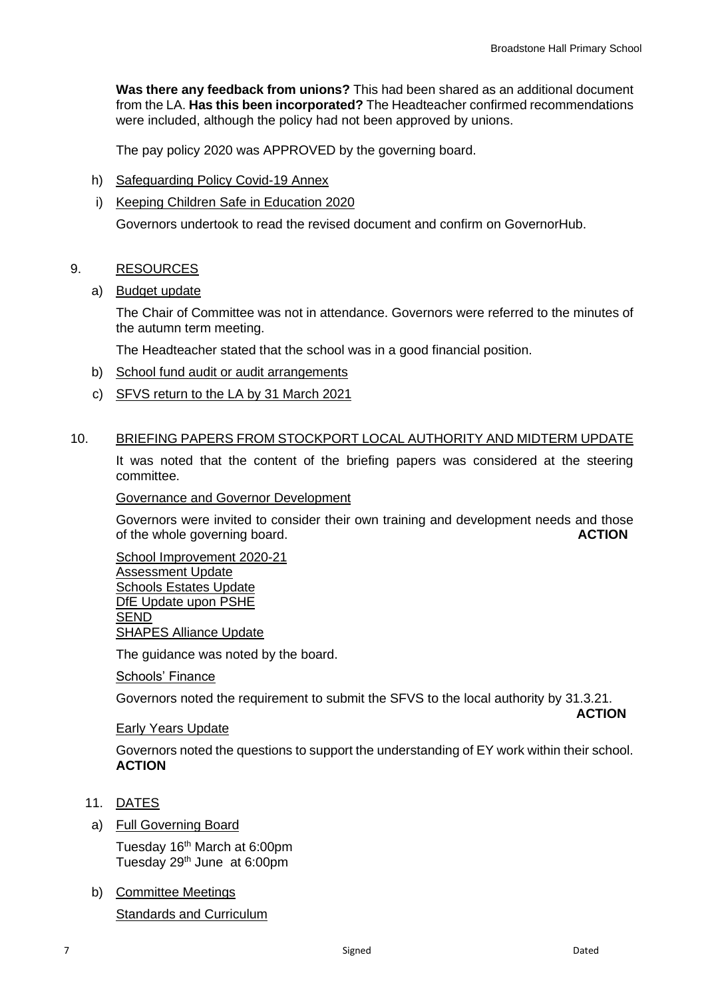**Was there any feedback from unions?** This had been shared as an additional document from the LA. **Has this been incorporated?** The Headteacher confirmed recommendations were included, although the policy had not been approved by unions.

The pay policy 2020 was APPROVED by the governing board.

h) Safeguarding Policy Covid-19 Annex

## i) Keeping Children Safe in Education 2020

Governors undertook to read the revised document and confirm on GovernorHub.

## 9. RESOURCES

## a) Budget update

The Chair of Committee was not in attendance. Governors were referred to the minutes of the autumn term meeting.

The Headteacher stated that the school was in a good financial position.

- b) School fund audit or audit arrangements
- c) SFVS return to the LA by 31 March 2021

## 10. BRIEFING PAPERS FROM STOCKPORT LOCAL AUTHORITY AND MIDTERM UPDATE

It was noted that the content of the briefing papers was considered at the steering committee.

Governance and Governor Development

Governors were invited to consider their own training and development needs and those<br>of the whole governing board. of the whole governing board.

School Improvement 2020-21 Assessment Update Schools Estates Update DfE Update upon PSHE SEND SHAPES Alliance Update

The guidance was noted by the board.

Schools' Finance

Governors noted the requirement to submit the SFVS to the local authority by 31.3.21.

 **ACTION**

#### Early Years Update

Governors noted the questions to support the understanding of EY work within their school. **ACTION**

- 11. DATES
- a) Full Governing Board

Tuesday 16<sup>th</sup> March at 6:00pm Tuesday 29<sup>th</sup> June at 6:00pm

b) Committee Meetings

**Standards and Curriculum**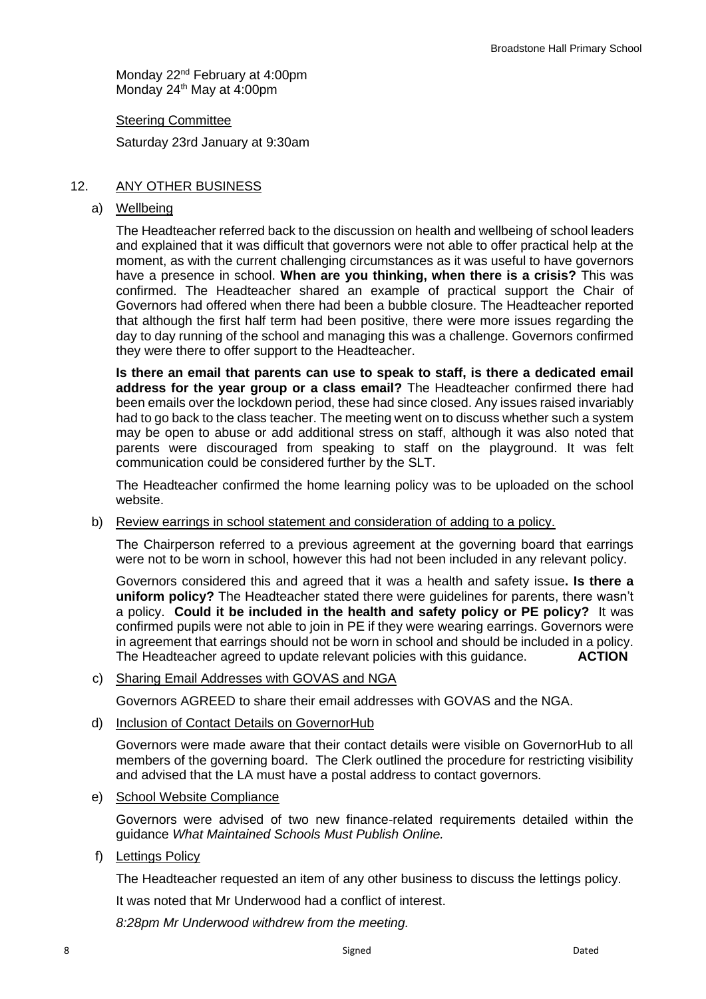Monday 22<sup>nd</sup> February at 4:00pm Monday 24<sup>th</sup> May at 4:00pm

Steering Committee

Saturday 23rd January at 9:30am

## 12. ANY OTHER BUSINESS

#### a) Wellbeing

The Headteacher referred back to the discussion on health and wellbeing of school leaders and explained that it was difficult that governors were not able to offer practical help at the moment, as with the current challenging circumstances as it was useful to have governors have a presence in school. **When are you thinking, when there is a crisis?** This was confirmed. The Headteacher shared an example of practical support the Chair of Governors had offered when there had been a bubble closure. The Headteacher reported that although the first half term had been positive, there were more issues regarding the day to day running of the school and managing this was a challenge. Governors confirmed they were there to offer support to the Headteacher.

**Is there an email that parents can use to speak to staff, is there a dedicated email address for the year group or a class email?** The Headteacher confirmed there had been emails over the lockdown period, these had since closed. Any issues raised invariably had to go back to the class teacher. The meeting went on to discuss whether such a system may be open to abuse or add additional stress on staff, although it was also noted that parents were discouraged from speaking to staff on the playground. It was felt communication could be considered further by the SLT.

The Headteacher confirmed the home learning policy was to be uploaded on the school website.

b) Review earrings in school statement and consideration of adding to a policy.

The Chairperson referred to a previous agreement at the governing board that earrings were not to be worn in school, however this had not been included in any relevant policy.

Governors considered this and agreed that it was a health and safety issue**. Is there a uniform policy?** The Headteacher stated there were guidelines for parents, there wasn't a policy. **Could it be included in the health and safety policy or PE policy?** It was confirmed pupils were not able to join in PE if they were wearing earrings. Governors were in agreement that earrings should not be worn in school and should be included in a policy. The Headteacher agreed to update relevant policies with this guidance. **ACTION**

c) Sharing Email Addresses with GOVAS and NGA

Governors AGREED to share their email addresses with GOVAS and the NGA.

d) Inclusion of Contact Details on GovernorHub

Governors were made aware that their contact details were visible on GovernorHub to all members of the governing board. The Clerk outlined the procedure for restricting visibility and advised that the LA must have a postal address to contact governors.

e) School Website Compliance

Governors were advised of two new finance-related requirements detailed within the guidance *What Maintained Schools Must Publish Online.* 

f) Lettings Policy

The Headteacher requested an item of any other business to discuss the lettings policy.

It was noted that Mr Underwood had a conflict of interest.

*8:28pm Mr Underwood withdrew from the meeting.*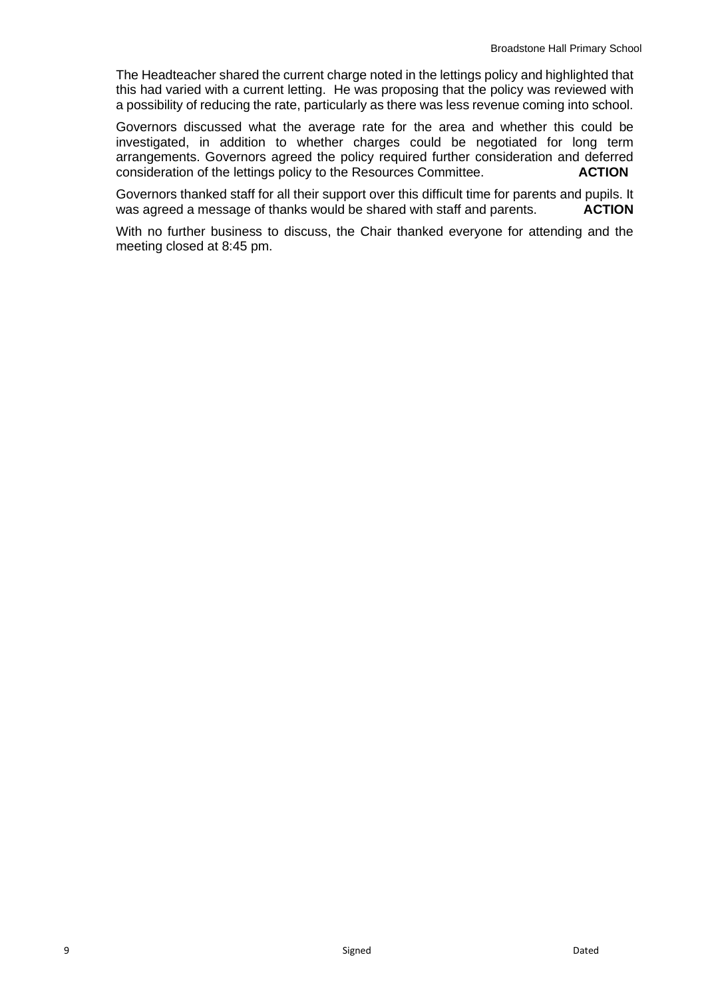The Headteacher shared the current charge noted in the lettings policy and highlighted that this had varied with a current letting. He was proposing that the policy was reviewed with a possibility of reducing the rate, particularly as there was less revenue coming into school.

Governors discussed what the average rate for the area and whether this could be investigated, in addition to whether charges could be negotiated for long term arrangements. Governors agreed the policy required further consideration and deferred consideration of the lettings policy to the Resources Committee. **ACTION**

Governors thanked staff for all their support over this difficult time for parents and pupils. It was agreed a message of thanks would be shared with staff and parents. **ACTION** 

With no further business to discuss, the Chair thanked everyone for attending and the meeting closed at 8:45 pm.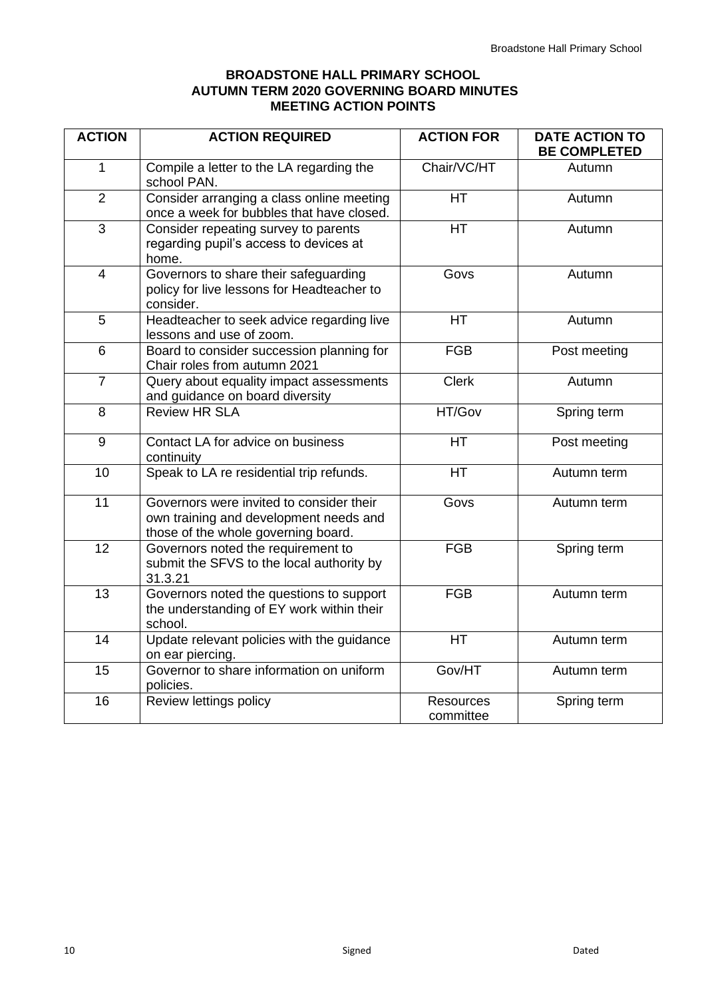# **BROADSTONE HALL PRIMARY SCHOOL AUTUMN TERM 2020 GOVERNING BOARD MINUTES MEETING ACTION POINTS**

| <b>ACTION</b>  | <b>ACTION REQUIRED</b>                                                                                                    | <b>ACTION FOR</b>             | <b>DATE ACTION TO</b><br><b>BE COMPLETED</b> |  |
|----------------|---------------------------------------------------------------------------------------------------------------------------|-------------------------------|----------------------------------------------|--|
| 1              | Compile a letter to the LA regarding the<br>school PAN.                                                                   | Chair/VC/HT                   | Autumn                                       |  |
| $\overline{2}$ | Consider arranging a class online meeting<br>once a week for bubbles that have closed.                                    | <b>HT</b>                     | Autumn                                       |  |
| $\overline{3}$ | Consider repeating survey to parents<br>regarding pupil's access to devices at<br>home.                                   | <b>HT</b>                     | Autumn                                       |  |
| $\overline{4}$ | Governors to share their safeguarding<br>policy for live lessons for Headteacher to<br>consider.                          | Govs                          | Autumn                                       |  |
| 5              | Headteacher to seek advice regarding live<br>lessons and use of zoom.                                                     | <b>HT</b>                     | Autumn                                       |  |
| 6              | Board to consider succession planning for<br>Chair roles from autumn 2021                                                 | <b>FGB</b>                    | Post meeting                                 |  |
| $\overline{7}$ | Query about equality impact assessments<br>and guidance on board diversity                                                | <b>Clerk</b>                  | Autumn                                       |  |
| 8              | <b>Review HR SLA</b>                                                                                                      | HT/Gov                        | Spring term                                  |  |
| 9              | Contact LA for advice on business<br>continuity                                                                           | <b>HT</b>                     | Post meeting                                 |  |
| 10             | Speak to LA re residential trip refunds.                                                                                  | <b>HT</b>                     | Autumn term                                  |  |
| 11             | Governors were invited to consider their<br>own training and development needs and<br>those of the whole governing board. | Govs                          | Autumn term                                  |  |
| 12             | Governors noted the requirement to<br>submit the SFVS to the local authority by<br>31.3.21                                | <b>FGB</b>                    | Spring term                                  |  |
| 13             | Governors noted the questions to support<br>the understanding of EY work within their<br>school.                          | <b>FGB</b>                    | Autumn term                                  |  |
| 14             | Update relevant policies with the guidance<br>on ear piercing.                                                            | <b>HT</b>                     | Autumn term                                  |  |
| 15             | Governor to share information on uniform<br>policies.                                                                     | Gov/HT                        | Autumn term                                  |  |
| 16             | Review lettings policy                                                                                                    | <b>Resources</b><br>committee | Spring term                                  |  |